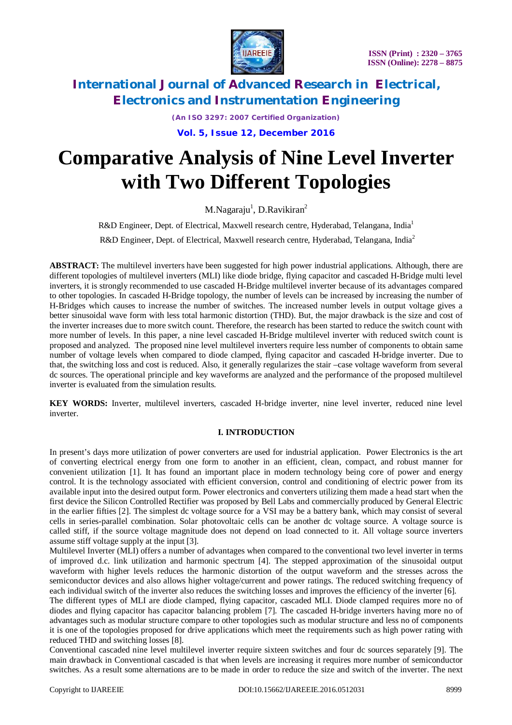

*(An ISO 3297: 2007 Certified Organization)*

**Vol. 5, Issue 12, December 2016**

# **Comparative Analysis of Nine Level Inverter with Two Different Topologies**

M.Nagaraju<sup>1</sup>, D.Ravikiran<sup>2</sup>

R&D Engineer, Dept. of Electrical, Maxwell research centre, Hyderabad, Telangana, India<sup>1</sup>

R&D Engineer, Dept. of Electrical, Maxwell research centre, Hyderabad, Telangana, India<sup>2</sup>

**ABSTRACT:** The multilevel inverters have been suggested for high power industrial applications. Although, there are different topologies of multilevel inverters (MLI) like diode bridge, flying capacitor and cascaded H-Bridge multi level inverters, it is strongly recommended to use cascaded H-Bridge multilevel inverter because of its advantages compared to other topologies. In cascaded H-Bridge topology, the number of levels can be increased by increasing the number of H-Bridges which causes to increase the number of switches. The increased number levels in output voltage gives a better sinusoidal wave form with less total harmonic distortion (THD). But, the major drawback is the size and cost of the inverter increases due to more switch count. Therefore, the research has been started to reduce the switch count with more number of levels. In this paper, a nine level cascaded H-Bridge multilevel inverter with reduced switch count is proposed and analyzed. The proposed nine level multilevel inverters require less number of components to obtain same number of voltage levels when compared to diode clamped, flying capacitor and cascaded H-bridge inverter. Due to that, the switching loss and cost is reduced. Also, it generally regularizes the stair –case voltage waveform from several dc sources. The operational principle and key waveforms are analyzed and the performance of the proposed multilevel inverter is evaluated from the simulation results.

**KEY WORDS:** Inverter, multilevel inverters, cascaded H-bridge inverter, nine level inverter, reduced nine level inverter.

### **I. INTRODUCTION**

In present's days more utilization of power converters are used for industrial application. Power Electronics is the art of converting electrical energy from one form to another in an efficient, clean, compact, and robust manner for convenient utilization [1]. It has found an important place in modern technology being core of power and energy control. It is the technology associated with efficient conversion, control and conditioning of electric power from its available input into the desired output form. Power electronics and converters utilizing them made a head start when the first device the Silicon Controlled Rectifier was proposed by Bell Labs and commercially produced by General Electric in the earlier fifties [2]. The simplest dc voltage source for a VSI may be a battery bank, which may consist of several cells in series-parallel combination. Solar photovoltaic cells can be another dc voltage source. A voltage source is called stiff, if the source voltage magnitude does not depend on load connected to it. All voltage source inverters assume stiff voltage supply at the input [3].

Multilevel Inverter (MLI) offers a number of advantages when compared to the conventional two level inverter in terms of improved d.c. link utilization and harmonic spectrum [4]. The stepped approximation of the sinusoidal output waveform with higher levels reduces the harmonic distortion of the output waveform and the stresses across the semiconductor devices and also allows higher voltage/current and power ratings. The reduced switching frequency of each individual switch of the inverter also reduces the switching losses and improves the efficiency of the inverter [6].

The different types of MLI are diode clamped, flying capacitor, cascaded MLI. Diode clamped requires more no of diodes and flying capacitor has capacitor balancing problem [7]. The cascaded H-bridge inverters having more no of advantages such as modular structure compare to other topologies such as modular structure and less no of components it is one of the topologies proposed for drive applications which meet the requirements such as high power rating with reduced THD and switching losses [8].

Conventional cascaded nine level multilevel inverter require sixteen switches and four dc sources separately [9]. The main drawback in Conventional cascaded is that when levels are increasing it requires more number of semiconductor switches. As a result some alternations are to be made in order to reduce the size and switch of the inverter. The next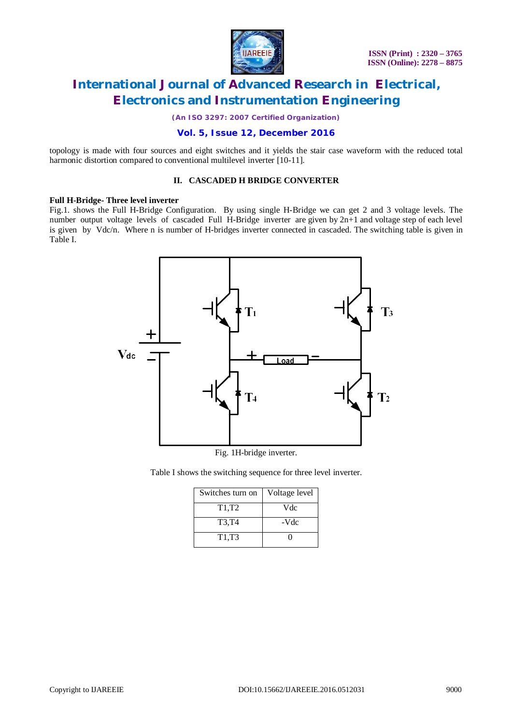

*(An ISO 3297: 2007 Certified Organization)*

### **Vol. 5, Issue 12, December 2016**

topology is made with four sources and eight switches and it yields the stair case waveform with the reduced total harmonic distortion compared to conventional multilevel inverter [10-11].

### **II. CASCADED H BRIDGE CONVERTER**

#### **Full H-Bridge- Three level inverter**

Fig.1. shows the Full H-Bridge Configuration. By using single H-Bridge we can get 2 and 3 voltage levels. The number output voltage levels of cascaded Full H-Bridge inverter are given by  $2n+1$  and voltage step of each level is given by Vdc/n. Where n is number of H-bridges inverter connected in cascaded. The switching table is given in Table I.



Fig. 1H-bridge inverter.

Table I shows the switching sequence for three level inverter.

| Switches turn on               | Voltage level |
|--------------------------------|---------------|
| T <sub>1</sub> ,T <sub>2</sub> | Vdc           |
| T3,T4                          | -Vdc          |
| T <sub>1</sub> ,T <sub>3</sub> |               |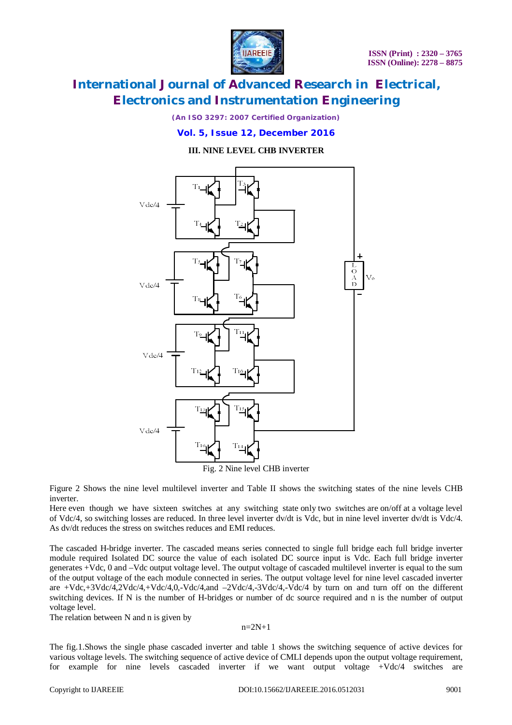

*(An ISO 3297: 2007 Certified Organization)*

### **Vol. 5, Issue 12, December 2016**

**III. NINE LEVEL CHB INVERTER**



Fig. 2 Nine level CHB inverter

Figure 2 Shows the nine level multilevel inverter and Table II shows the switching states of the nine levels CHB inverter.

Here even though we have sixteen switches at any switching state only two switches are on/off at a voltage level of Vdc/4, so switching losses are reduced. In three level inverter dv/dt is Vdc, but in nine level inverter dv/dt is Vdc/4. As dv/dt reduces the stress on switches reduces and EMI reduces.

The cascaded H-bridge inverter. The cascaded means series connected to single full bridge each full bridge inverter module required Isolated DC source the value of each isolated DC source input is Vdc. Each full bridge inverter generates +Vdc, 0 and –Vdc output voltage level. The output voltage of cascaded multilevel inverter is equal to the sum of the output voltage of the each module connected in series. The output voltage level for nine level cascaded inverter are +Vdc,+3Vdc/4,2Vdc/4,+Vdc/4,0,-Vdc/4,and –2Vdc/4,-3Vdc/4,-Vdc/4 by turn on and turn off on the different switching devices. If N is the number of H-bridges or number of dc source required and n is the number of output voltage level.

The relation between N and n is given by

n=2N+1

The fig.1.Shows the single phase cascaded inverter and table 1 shows the switching sequence of active devices for various voltage levels. The switching sequence of active device of CMLI depends upon the output voltage requirement, for example for nine levels cascaded inverter if we want output voltage +Vdc/4 switches are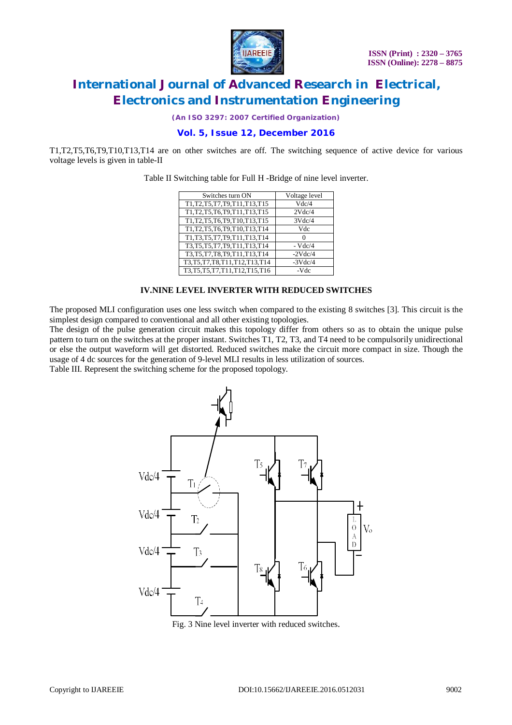

*(An ISO 3297: 2007 Certified Organization)*

### **Vol. 5, Issue 12, December 2016**

T1,T2,T5,T6,T9,T10,T13,T14 are on other switches are off. The switching sequence of active device for various voltage levels is given in table-II

Table II Switching table for Full H -Bridge of nine level inverter.

| Switches turn ON                   | Voltage level |
|------------------------------------|---------------|
| T1, T2, T5, T7, T9, T11, T13, T15  | Vdc/4         |
| T1, T2, T5, T6, T9, T11, T13, T15  | 2Vdc/4        |
| T1, T2, T5, T6, T9, T10, T13, T15  | 3Vdc/4        |
| T1, T2, T5, T6, T9, T10, T13, T14  | Vdc           |
| T1, T3, T5, T7, T9, T11, T13, T14  | 0             |
| T3, T5, T5, T7, T9, T11, T13, T14  | $-Vdc/4$      |
| T3, T5, T7, T8, T9, T11, T13, T14  | $-2Vdc/4$     |
| T3, T5, T7, T8, T11, T12, T13, T14 | $-3Vdc/4$     |
| T3, T5, T5, T7, T11, T12, T15, T16 | -Vdc          |

#### **IV.NINE LEVEL INVERTER WITH REDUCED SWITCHES**

The proposed MLI configuration uses one less switch when compared to the existing 8 switches [3]. This circuit is the simplest design compared to conventional and all other existing topologies.

The design of the pulse generation circuit makes this topology differ from others so as to obtain the unique pulse pattern to turn on the switches at the proper instant. Switches T1, T2, T3, and T4 need to be compulsorily unidirectional or else the output waveform will get distorted. Reduced switches make the circuit more compact in size. Though the usage of 4 dc sources for the generation of 9-level MLI results in less utilization of sources.

Table III. Represent the switching scheme for the proposed topology.



Fig. 3 Nine level inverter with reduced switches.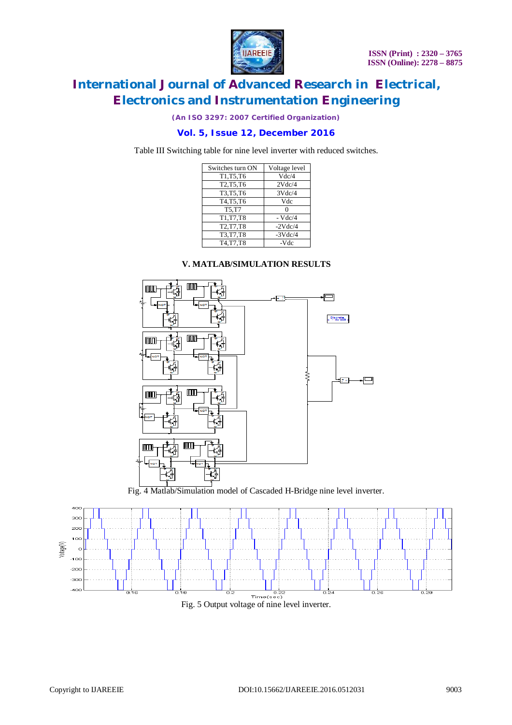

*(An ISO 3297: 2007 Certified Organization)*

### **Vol. 5, Issue 12, December 2016**

Table III Switching table for nine level inverter with reduced switches.

| Voltage level |
|---------------|
| Vdc/4         |
| 2Vdc/4        |
| 3Vdc/4        |
| Vdc           |
|               |
| $-Vdc/4$      |
| $-2Vdc/4$     |
| $-3Vdc/4$     |
| -Vdc          |
|               |

### **V. MATLAB/SIMULATION RESULTS**



Fig. 4 Matlab/Simulation model of Cascaded H-Bridge nine level inverter.

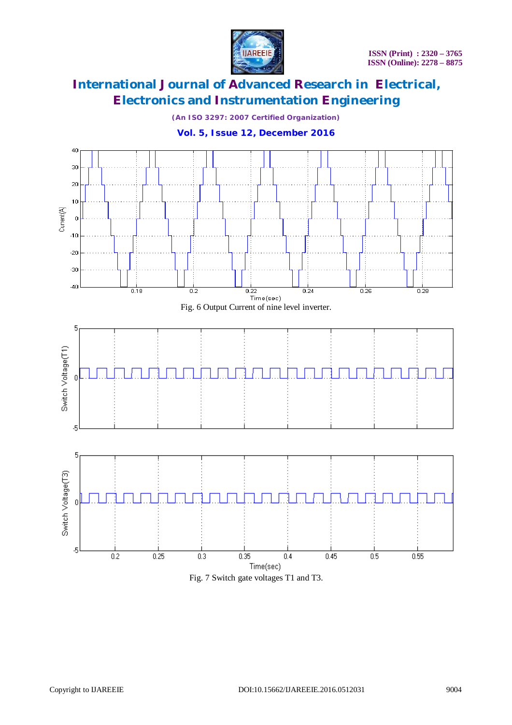

*(An ISO 3297: 2007 Certified Organization)*

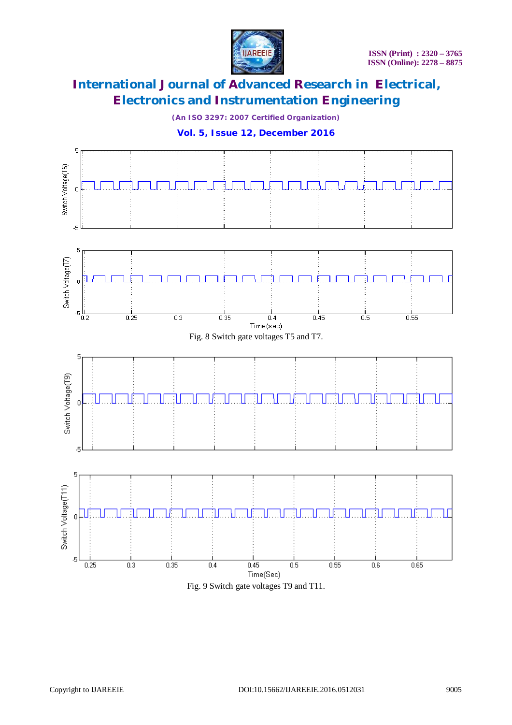

*(An ISO 3297: 2007 Certified Organization)*

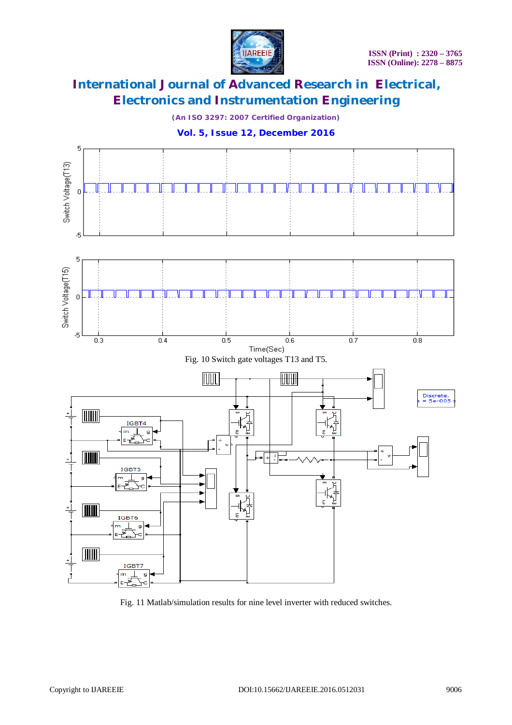

*(An ISO 3297: 2007 Certified Organization)*



**Vol. 5, Issue 12, December 2016**

Fig. 11 Matlab/simulation results for nine level inverter with reduced switches.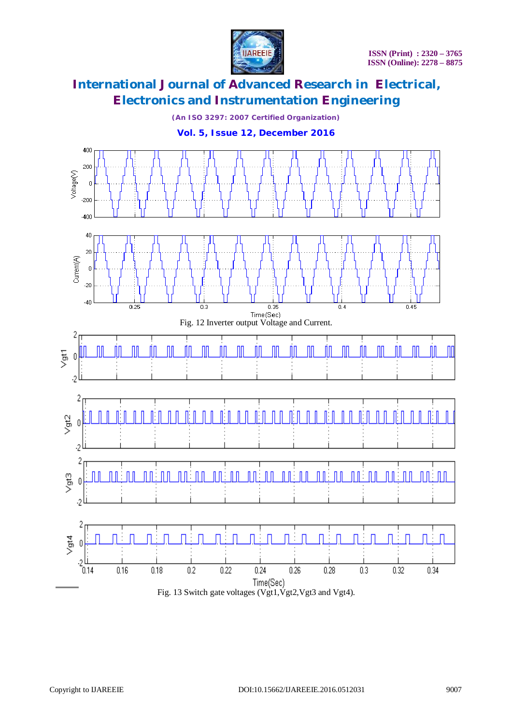

*(An ISO 3297: 2007 Certified Organization)*